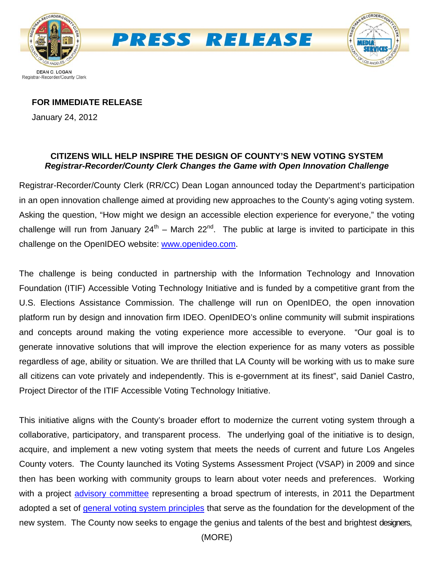

#### **FOR IMMEDIATE RELEASE**

January 24, 2012

### **CITIZENS WILL HELP INSPIRE THE DESIGN OF COUNTY'S NEW VOTING SYSTEM**  *Registrar-Recorder/County Clerk Changes the Game with Open Innovation Challenge*

Registrar-Recorder/County Clerk (RR/CC) Dean Logan announced today the Department's participation in an open innovation challenge aimed at providing new approaches to the County's aging voting system. Asking the question, "How might we design an accessible election experience for everyone," the voting challenge will run from January  $24^{th}$  – March  $22^{nd}$ . The public at large is invited to participate in this challenge on the OpenIDEO website: [www.openideo.com](http://www.openideo.com/).

The challenge is being conducted in partnership with the Information Technology and Innovation Foundation (ITIF) Accessible Voting Technology Initiative and is funded by a competitive grant from the U.S. Elections Assistance Commission. The challenge will run on OpenIDEO, the open innovation platform run by design and innovation firm IDEO. OpenIDEO's online community will submit inspirations and concepts around making the voting experience more accessible to everyone. "Our goal is to generate innovative solutions that will improve the election experience for as many voters as possible regardless of age, ability or situation. We are thrilled that LA County will be working with us to make sure all citizens can vote privately and independently. This is e-government at its finest", said Daniel Castro, Project Director of the ITIF Accessible Voting Technology Initiative.

This initiative aligns with the County's broader effort to modernize the current voting system through a collaborative, participatory, and transparent process. The underlying goal of the initiative is to design, acquire, and implement a new voting system that meets the needs of current and future Los Angeles County voters. The County launched its Voting Systems Assessment Project (VSAP) in 2009 and since then has been working with community groups to learn about voter needs and preferences. Working with a project [advisory committee](http://www.lavote.net/Voter/VSAP/Comm_Overview.cfm) representing a broad spectrum of interests, in 2011 the Department adopted a set of [general voting system principles](http://www.lavote.net/Voter/VSAP/PDFS/VotingSystemPrinciples.pdf) that serve as the foundation for the development of the new system. The County now seeks to engage the genius and talents of the best and brightest designers,